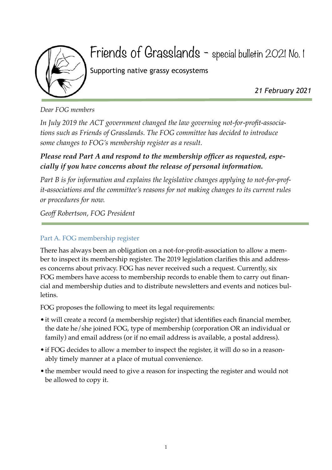

## Friends of Grasslands - special bulletin 2021 No. 1

Supporting native grassy ecosystems

*21 February 2021*

*Dear FOG members*

*In July 2019 the ACT government changed the law governing not-for-profit-associations such as Friends of Grasslands. The FOG committee has decided to introduce some changes to FOG's membership register as a result.*

## *Please read Part A and respond to the membership officer as requested, especially if you have concerns about the release of personal information.*

*Part B is for information and explains the legislative changes applying to not-for-profit-associations and the committee's reasons for not making changes to its current rules or procedures for now.*

*Geoff Robertson, FOG President*

## Part A. FOG membership register

There has always been an obligation on a not-for-profit-association to allow a member to inspect its membership register. The 2019 legislation clarifies this and addresses concerns about privacy. FOG has never received such a request. Currently, six FOG members have access to membership records to enable them to carry out financial and membership duties and to distribute newsletters and events and notices bulletins.

FOG proposes the following to meet its legal requirements:

- it will create a record (a membership register) that identifies each financial member, the date he/she joined FOG, type of membership (corporation OR an individual or family) and email address (or if no email address is available, a postal address).
- if FOG decides to allow a member to inspect the register, it will do so in a reasonably timely manner at a place of mutual convenience.
- the member would need to give a reason for inspecting the register and would not be allowed to copy it.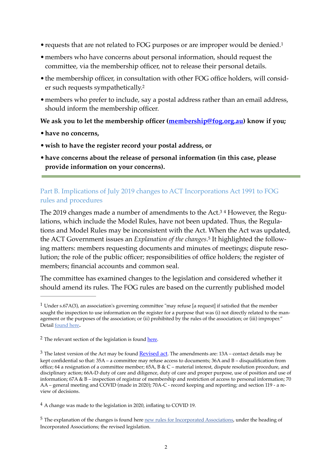- requests that are not related to FOG purposes or are improper would be denied.<sup>1</sup>
- •members who have concerns about personal information, should request the committee, via the membership officer, not to release their personal details.
- •the membership officer, in consultation with other FOG office holders, will consider such requests sympathetically.2
- •members who prefer to include, say a postal address rather than an email address, should inform the membership officer.

**We ask you to let the membership officer (membership@fog.org.au) know if you;**

- •**have no concerns,**
- •**wish to have the register record your postal address, or**
- •**have concerns about the release of personal information (in this case, please provide information on your concerns).**

## Part B. Implications of July 2019 changes to ACT Incorporations Act 1991 to FOG rules and procedures

The 2019 changes made a number of amendments to the Act.3 4 However, the Regulations, which include the Model Rules, have not been updated. Thus, the Regulations and Model Rules may be inconsistent with the Act. When the Act was updated, the ACT Government issues an *Explanation of the changes*.5 It highlighted the following matters: members requesting documents and minutes of meetings; dispute resolution; the role of the public officer; responsibilities of office holders; the register of members; financial accounts and common seal.

The committee has examined changes to the legislation and considered whether it should amend its rules. The FOG rules are based on the currently published model

 $1$  Under s.67A(3), an association's governing committee "may refuse [a request] if satisfied that the member sought the inspection to use information on the register for a purpose that was (i) not directly related to the management or the purposes of the association; or (ii) prohibited by the rules of the association; or (iii) improper." Detail found here.

<sup>&</sup>lt;sup>2</sup> The relevant section of the legislation is found here.

 $3$  The latest version of the Act may be found Revised act. The amendments are:  $13A$  – contact details may be kept confidential so that: 35A – a committee may refuse access to documents; 36A and B – disqualification from office; 64 a resignation of a committee member; 65A, B & C – material interest, dispute resolution procedure, and disciplinary action; 66A-D duty of care and diligence, duty of care and proper purpose, use of position and use of information; 67A & B – inspection of registrar of membership and restriction of access to personal information; 70 AA – general meeting and COVID (made in 2020); 70A-C - record keeping and reporting; and section 119 - a review of decisions.

A change was made to the legislation in 2020, inflating to COVID 19. 4

<sup>&</sup>lt;sup>5</sup> The explanation of the changes is found here new rules for Incorporated Associations, under the heading of Incorporated Associations; the revised legislation.